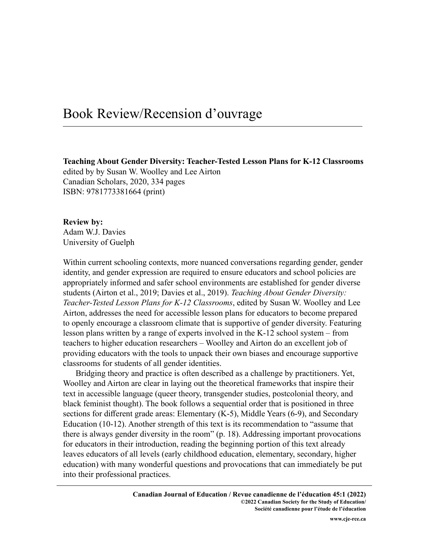## Book Review/Recension d'ouvrage

**Teaching About Gender Diversity: Teacher-Tested Lesson Plans for K-12 Classrooms** edited by by Susan W. Woolley and Lee Airton Canadian Scholars, 2020, 334 pages ISBN: 9781773381664 (print)

**Review by:** Adam W.J. Davies University of Guelph

Within current schooling contexts, more nuanced conversations regarding gender, gender identity, and gender expression are required to ensure educators and school policies are appropriately informed and safer school environments are established for gender diverse students (Airton et al., 2019; Davies et al., 2019). *Teaching About Gender Diversity: Teacher-Tested Lesson Plans for K-12 Classrooms*, edited by Susan W. Woolley and Lee Airton, addresses the need for accessible lesson plans for educators to become prepared to openly encourage a classroom climate that is supportive of gender diversity. Featuring lesson plans written by a range of experts involved in the K-12 school system – from teachers to higher education researchers – Woolley and Airton do an excellent job of providing educators with the tools to unpack their own biases and encourage supportive classrooms for students of all gender identities.

Bridging theory and practice is often described as a challenge by practitioners. Yet, Woolley and Airton are clear in laying out the theoretical frameworks that inspire their text in accessible language (queer theory, transgender studies, postcolonial theory, and black feminist thought). The book follows a sequential order that is positioned in three sections for different grade areas: Elementary (K-5), Middle Years (6-9), and Secondary Education (10-12). Another strength of this text is its recommendation to "assume that there is always gender diversity in the room" (p. 18). Addressing important provocations for educators in their introduction, reading the beginning portion of this text already leaves educators of all levels (early childhood education, elementary, secondary, higher education) with many wonderful questions and provocations that can immediately be put into their professional practices.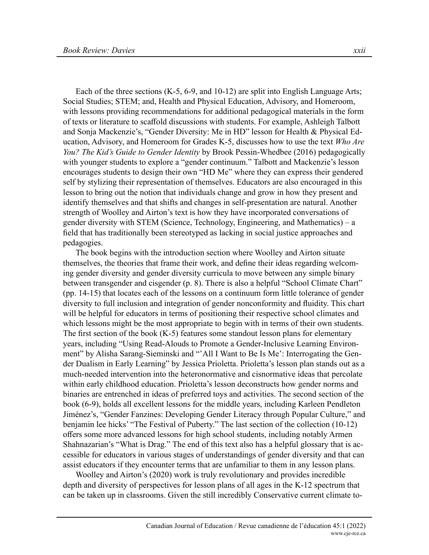Each of the three sections (K-5, 6-9, and 10-12) are split into English Language Arts; Social Studies; STEM; and, Health and Physical Education, Advisory, and Homeroom, with lessons providing recommendations for additional pedagogical materials in the form of texts or literature to scaffold discussions with students. For example, Ashleigh Talbott and Sonja Mackenzie's, "Gender Diversity: Me in HD" lesson for Health & Physical Education, Advisory, and Homeroom for Grades K-5, discusses how to use the text *Who Are You? The Kid's Guide to Gender Identity* by Brook Pessin-Whedbee (2016) pedagogically with younger students to explore a "gender continuum." Talbott and Mackenzie's lesson encourages students to design their own "HD Me" where they can express their gendered self by stylizing their representation of themselves. Educators are also encouraged in this lesson to bring out the notion that individuals change and grow in how they present and identify themselves and that shifts and changes in self-presentation are natural. Another strength of Woolley and Airton's text is how they have incorporated conversations of gender diversity with STEM (Science, Technology, Engineering, and Mathematics) – a field that has traditionally been stereotyped as lacking in social justice approaches and pedagogies.

The book begins with the introduction section where Woolley and Airton situate themselves, the theories that frame their work, and define their ideas regarding welcoming gender diversity and gender diversity curricula to move between any simple binary between transgender and cisgender (p. 8). There is also a helpful "School Climate Chart" (pp. 14-15) that locates each of the lessons on a continuum form little tolerance of gender diversity to full inclusion and integration of gender nonconformity and fluidity. This chart will be helpful for educators in terms of positioning their respective school climates and which lessons might be the most appropriate to begin with in terms of their own students. The first section of the book (K-5) features some standout lesson plans for elementary years, including "Using Read-Alouds to Promote a Gender-Inclusive Learning Environment" by Alisha Sarang-Sieminski and "'All I Want to Be Is Me': Interrogating the Gender Dualism in Early Learning" by Jessica Prioletta. Prioletta's lesson plan stands out as a much-needed intervention into the heteronormative and cisnormative ideas that percolate within early childhood education. Prioletta's lesson deconstructs how gender norms and binaries are entrenched in ideas of preferred toys and activities. The second section of the book (6-9), holds all excellent lessons for the middle years, including Karleen Pendleton Jiménez's, "Gender Fanzines: Developing Gender Literacy through Popular Culture," and benjamin lee hicks' "The Festival of Puberty." The last section of the collection (10-12) offers some more advanced lessons for high school students, including notably Armen Shahnazarian's "What is Drag." The end of this text also has a helpful glossary that is accessible for educators in various stages of understandings of gender diversity and that can assist educators if they encounter terms that are unfamiliar to them in any lesson plans.

Woolley and Airton's (2020) work is truly revolutionary and provides incredible depth and diversity of perspectives for lesson plans of all ages in the K-12 spectrum that can be taken up in classrooms. Given the still incredibly Conservative current climate to